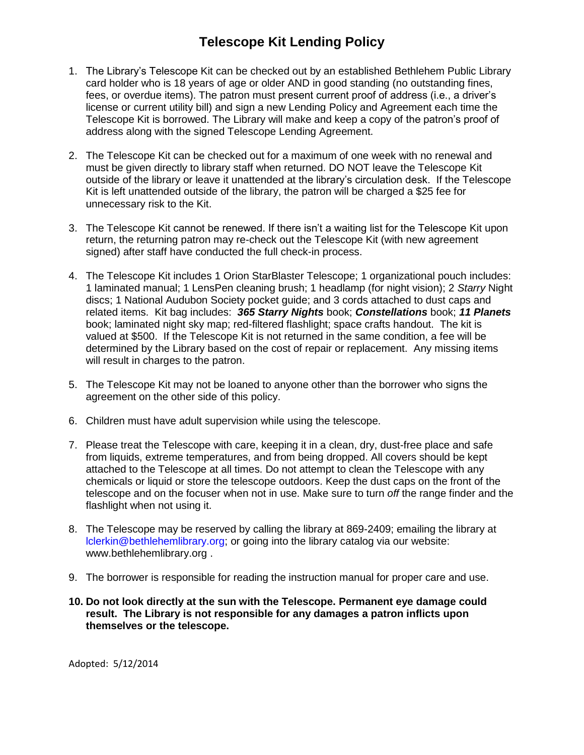## **Telescope Kit Lending Policy**

- 1. The Library's Telescope Kit can be checked out by an established Bethlehem Public Library card holder who is 18 years of age or older AND in good standing (no outstanding fines, fees, or overdue items). The patron must present current proof of address (i.e., a driver's license or current utility bill) and sign a new Lending Policy and Agreement each time the Telescope Kit is borrowed. The Library will make and keep a copy of the patron's proof of address along with the signed Telescope Lending Agreement.
- 2. The Telescope Kit can be checked out for a maximum of one week with no renewal and must be given directly to library staff when returned. DO NOT leave the Telescope Kit outside of the library or leave it unattended at the library's circulation desk. If the Telescope Kit is left unattended outside of the library, the patron will be charged a \$25 fee for unnecessary risk to the Kit.
- 3. The Telescope Kit cannot be renewed. If there isn't a waiting list for the Telescope Kit upon return, the returning patron may re-check out the Telescope Kit (with new agreement signed) after staff have conducted the full check-in process.
- 4. The Telescope Kit includes 1 Orion StarBlaster Telescope; 1 organizational pouch includes: 1 laminated manual; 1 LensPen cleaning brush; 1 headlamp (for night vision); 2 *Starry* Night discs; 1 National Audubon Society pocket guide; and 3 cords attached to dust caps and related items. Kit bag includes: *365 Starry Nights* book; *Constellations* book; *11 Planets* book; laminated night sky map; red-filtered flashlight; space crafts handout. The kit is valued at \$500. If the Telescope Kit is not returned in the same condition, a fee will be determined by the Library based on the cost of repair or replacement. Any missing items will result in charges to the patron.
- 5. The Telescope Kit may not be loaned to anyone other than the borrower who signs the agreement on the other side of this policy.
- 6. Children must have adult supervision while using the telescope.
- 7. Please treat the Telescope with care, keeping it in a clean, dry, dust-free place and safe from liquids, extreme temperatures, and from being dropped. All covers should be kept attached to the Telescope at all times. Do not attempt to clean the Telescope with any chemicals or liquid or store the telescope outdoors. Keep the dust caps on the front of the telescope and on the focuser when not in use. Make sure to turn *off* the range finder and the flashlight when not using it.
- 8. The Telescope may be reserved by calling the library at 869-2409; emailing the library at lclerkin@bethlehemlibrary.org; or going into the library catalog via our website: www.bethlehemlibrary.org .
- 9. The borrower is responsible for reading the instruction manual for proper care and use.
- **10. Do not look directly at the sun with the Telescope. Permanent eye damage could result. The Library is not responsible for any damages a patron inflicts upon themselves or the telescope.**

Adopted: 5/12/2014